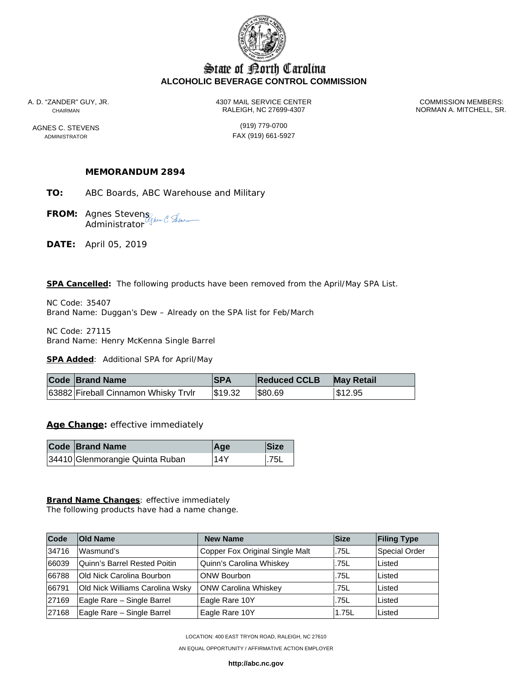

# State of Borth Carolina **ALCOHOLIC BEVERAGE CONTROL COMMISSION**

A. D. "ZANDER" GUY, JR. 4307 MAIL SERVICE CENTER COMMISSION MEMBERS: CHAIRMAN BELL, CHAIRMAN A. MITCHELL, SR.

AGNES C. STEVENS (919) 779-0700 ADMINISTRATOR **FAX** (919) 661-5927

# **MEMORANDUM 2894**

- **TO:** ABC Boards, ABC Warehouse and Military
- **FROM:** Agnes Stevens **Administrator**
- **DATE:** April 05, 2019

**SPA Cancelled:** The following products have been removed from the April/May SPA List.

NC Code: 35407 Brand Name: Duggan's Dew – Already on the SPA list for Feb/March

NC Code: 27115 Brand Name: Henry McKenna Single Barrel

**SPA Added**: Additional SPA for April/May

| <b>Code Brand Name</b>               | ISPA    | <b>Reduced CCLB</b> | <b>May Retail</b> |
|--------------------------------------|---------|---------------------|-------------------|
| 63882 Fireball Cinnamon Whisky Trvlr | \$19.32 | \$80.69             | \$12.95           |

**Age Change:** effective immediately

| <b>Code Brand Name</b>          | $Aq$ e | <b>Size</b>     |
|---------------------------------|--------|-----------------|
| 34410 Glenmorangie Quinta Ruban | 14Y    | $\overline{25}$ |

### **Brand Name Changes**: effective immediately

The following products have had a name change.

| Code  | <b>Old Name</b>                 | <b>New Name</b>                 | <b>Size</b> | <b>Filing Type</b> |
|-------|---------------------------------|---------------------------------|-------------|--------------------|
| 34716 | Wasmund's                       | Copper Fox Original Single Malt | .75L        | Special Order      |
| 66039 | Quinn's Barrel Rested Poitin    | Quinn's Carolina Whiskey        | .75L        | Listed             |
| 66788 | Old Nick Carolina Bourbon       | <b>ONW Bourbon</b>              | .75L        | Listed             |
| 66791 | Old Nick Williams Carolina Wsky | <b>ONW Carolina Whiskey</b>     | .75L        | Listed             |
| 27169 | Eagle Rare - Single Barrel      | Eagle Rare 10Y                  | .75L        | Listed             |
| 27168 | Eagle Rare - Single Barrel      | Eagle Rare 10Y                  | 1.75L       | Listed             |

LOCATION: 400 EAST TRYON ROAD, RALEIGH, NC 27610

AN EQUAL OPPORTUNITY / AFFIRMATIVE ACTION EMPLOYER

**http://abc.nc.gov**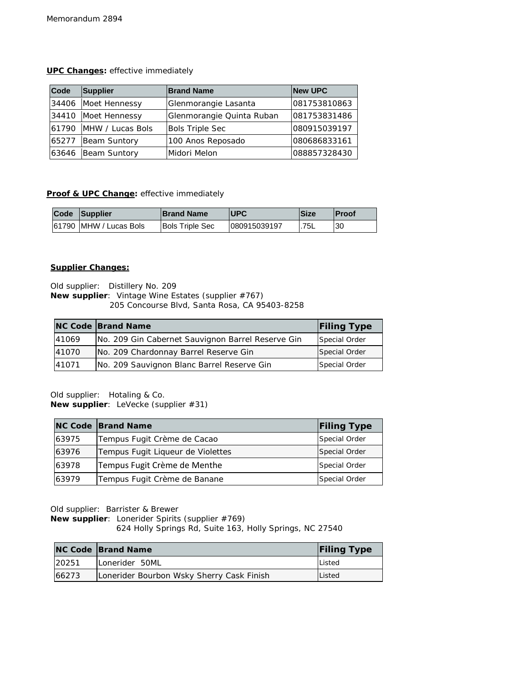## **UPC Changes:** effective immediately

| Code  | <b>Supplier</b>        | <b>Brand Name</b>         | <b>New UPC</b> |
|-------|------------------------|---------------------------|----------------|
|       | 34406 Moet Hennessy    | Glenmorangie Lasanta      | 081753810863   |
|       | 34410 Moet Hennessy    | Glenmorangie Quinta Ruban | 081753831486   |
|       | 61790 MHW / Lucas Bols | <b>Bols Triple Sec</b>    | 080915039197   |
| 65277 | Beam Suntory           | 100 Anos Reposado         | 080686833161   |
| 63646 | Beam Suntory           | Midori Melon              | 088857328430   |

# **Proof & UPC Change:** effective immediately

| Code Supplier          | <b>Brand Name</b>      | <b>IUPC</b>  | lSize | <b>Proof</b> |
|------------------------|------------------------|--------------|-------|--------------|
| 61790 MHW / Lucas Bols | <b>Bols Triple Sec</b> | 080915039197 | .75L  | 30           |

### **Supplier Changes:**

Old supplier: Distillery No. 209 **New supplier**: Vintage Wine Estates (supplier #767) 205 Concourse Blvd, Santa Rosa, CA 95403-8258

|       | <b>NC Code Brand Name</b>                         | <b>Filing Type</b> |
|-------|---------------------------------------------------|--------------------|
| 41069 | No. 209 Gin Cabernet Sauvignon Barrel Reserve Gin | Special Order      |
| 41070 | No. 209 Chardonnay Barrel Reserve Gin             | Special Order      |
| 41071 | No. 209 Sauvignon Blanc Barrel Reserve Gin        | Special Order      |

Old supplier: Hotaling & Co. **New supplier**: LeVecke (supplier #31)

|       | <b>NC Code Brand Name</b>         | <b>Filing Type</b> |
|-------|-----------------------------------|--------------------|
| 63975 | Tempus Fugit Crème de Cacao       | Special Order      |
| 63976 | Tempus Fugit Ligueur de Violettes | Special Order      |
| 63978 | Tempus Fugit Crème de Menthe      | Special Order      |
| 63979 | Tempus Fugit Crème de Banane      | Special Order      |

Old supplier: Barrister & Brewer

**New supplier**: Lonerider Spirits (supplier #769)

624 Holly Springs Rd, Suite 163, Holly Springs, NC 27540

|       | <b>NC Code Brand Name</b>                 | <b>Filing Type</b> |
|-------|-------------------------------------------|--------------------|
| 20251 | Lonerider 50ML                            | Listed             |
| 66273 | Lonerider Bourbon Wsky Sherry Cask Finish | Listed             |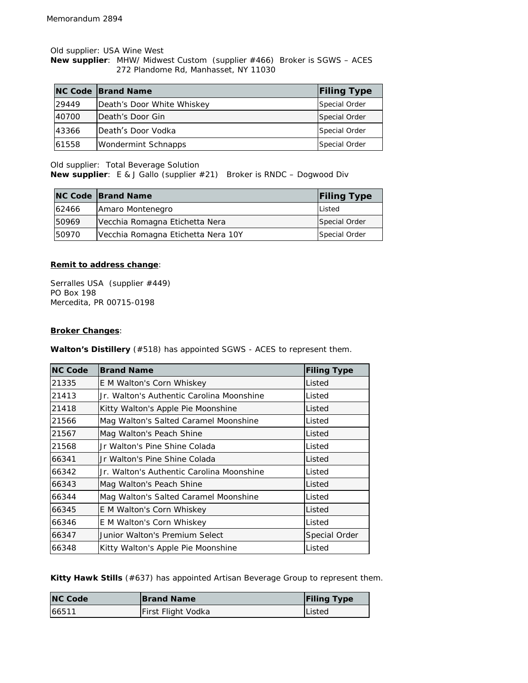Old supplier: USA Wine West

**New supplier**: MHW/ Midwest Custom (supplier #466) Broker is SGWS – ACES 272 Plandome Rd, Manhasset, NY 11030

|       | <b>NC Code Brand Name</b>  | <b>Filing Type</b> |
|-------|----------------------------|--------------------|
| 29449 | Death's Door White Whiskey | Special Order      |
| 40700 | Death's Door Gin           | Special Order      |
| 43366 | Death's Door Vodka         | Special Order      |
| 61558 | <b>Wondermint Schnapps</b> | Special Order      |

Old supplier: Total Beverage Solution

**New supplier**: E & J Gallo (supplier #21) Broker is RNDC – Dogwood Div

|       | <b>NC Code Brand Name</b>          | <b>Filing Type</b> |
|-------|------------------------------------|--------------------|
| 62466 | Amaro Montenegro                   | Listed             |
| 50969 | Vecchia Romagna Etichetta Nera     | Special Order      |
| 50970 | Vecchia Romagna Etichetta Nera 10Y | Special Order      |

#### **Remit to address change**:

Serralles USA (supplier #449) PO Box 198 Mercedita, PR 00715-0198

#### **Broker Changes**:

 $\overline{a}$ 

**Walton's Distillery** (#518) has appointed SGWS - ACES to represent them.

| <b>NC Code</b> | <b>Brand Name</b>                         | <b>Filing Type</b> |
|----------------|-------------------------------------------|--------------------|
| 21335          | E M Walton's Corn Whiskey                 | Listed             |
| 21413          | Jr. Walton's Authentic Carolina Moonshine | Listed             |
| 21418          | Kitty Walton's Apple Pie Moonshine        | Listed             |
| 21566          | Mag Walton's Salted Caramel Moonshine     | Listed             |
| 21567          | Mag Walton's Peach Shine                  | Listed             |
| 21568          | Jr Walton's Pine Shine Colada             | Listed             |
| 66341          | Ur Walton's Pine Shine Colada             | Listed             |
| 66342          | Jr. Walton's Authentic Carolina Moonshine | Listed             |
| 66343          | Mag Walton's Peach Shine                  | Listed             |
| 66344          | Mag Walton's Salted Caramel Moonshine     | Listed             |
| 66345          | E M Walton's Corn Whiskey                 | Listed             |
| 66346          | E M Walton's Corn Whiskey                 | Listed             |
| 66347          | Junior Walton's Premium Select            | Special Order      |
| 66348          | Kitty Walton's Apple Pie Moonshine        | Listed             |

**Kitty Hawk Stills** (#637) has appointed Artisan Beverage Group to represent them.

| <b>NC Code</b> | <b>Brand Name</b>  | <b>Filing Type</b> |
|----------------|--------------------|--------------------|
| 66511          | First Flight Vodka | <b>Listed</b>      |